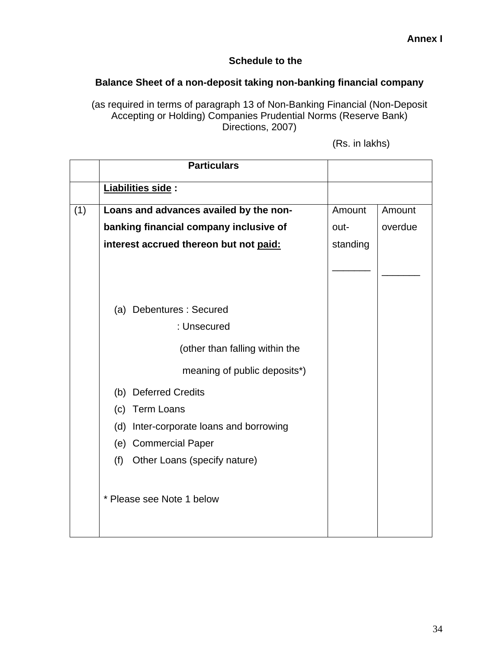## **Schedule to the**

## **Balance Sheet of a non-deposit taking non-banking financial company**

(as required in terms of paragraph 13 of Non-Banking Financial (Non-Deposit Accepting or Holding) Companies Prudential Norms (Reserve Bank) Directions, 2007)

(Rs. in lakhs)

|     | <b>Particulars</b>                         |          |         |
|-----|--------------------------------------------|----------|---------|
|     | Liabilities side :                         |          |         |
| (1) | Loans and advances availed by the non-     | Amount   | Amount  |
|     | banking financial company inclusive of     | out-     | overdue |
|     | interest accrued thereon but not paid:     | standing |         |
|     |                                            |          |         |
|     |                                            |          |         |
|     | (a) Debentures : Secured                   |          |         |
|     | : Unsecured                                |          |         |
|     | (other than falling within the             |          |         |
|     | meaning of public deposits*)               |          |         |
|     | (b) Deferred Credits                       |          |         |
|     | <b>Term Loans</b><br>(c)                   |          |         |
|     | Inter-corporate loans and borrowing<br>(d) |          |         |
|     | (e) Commercial Paper                       |          |         |
|     | (f)<br>Other Loans (specify nature)        |          |         |
|     |                                            |          |         |
|     | * Please see Note 1 below                  |          |         |
|     |                                            |          |         |
|     |                                            |          |         |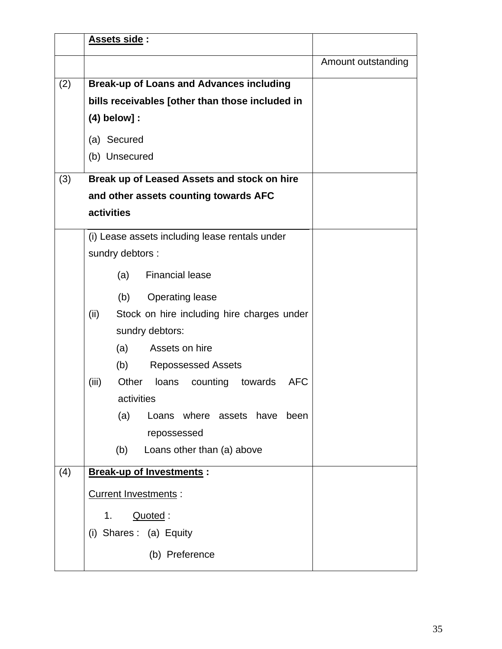| Assets side:                                                 |                    |
|--------------------------------------------------------------|--------------------|
|                                                              | Amount outstanding |
| <b>Break-up of Loans and Advances including</b><br>(2)       |                    |
| bills receivables [other than those included in              |                    |
| $(4)$ below] :                                               |                    |
| (a) Secured                                                  |                    |
| (b) Unsecured                                                |                    |
| (3)<br>Break up of Leased Assets and stock on hire           |                    |
| and other assets counting towards AFC                        |                    |
| activities                                                   |                    |
| (i) Lease assets including lease rentals under               |                    |
| sundry debtors :                                             |                    |
| <b>Financial lease</b><br>(a)                                |                    |
| <b>Operating lease</b><br>(b)                                |                    |
| (ii)<br>Stock on hire including hire charges under           |                    |
| sundry debtors:                                              |                    |
| Assets on hire<br>(a)                                        |                    |
| (b)<br><b>Repossessed Assets</b>                             |                    |
| Other<br><b>AFC</b><br>(iii)<br>loans<br>counting<br>towards |                    |
| activities                                                   |                    |
| (a)<br>Loans where assets have<br>been                       |                    |
| repossessed                                                  |                    |
| (b)<br>Loans other than (a) above                            |                    |
| <b>Break-up of Investments:</b><br>(4)                       |                    |
| <b>Current Investments:</b>                                  |                    |
| Quoted:<br>1.                                                |                    |
| (i) Shares: (a) Equity                                       |                    |
| (b) Preference                                               |                    |
|                                                              |                    |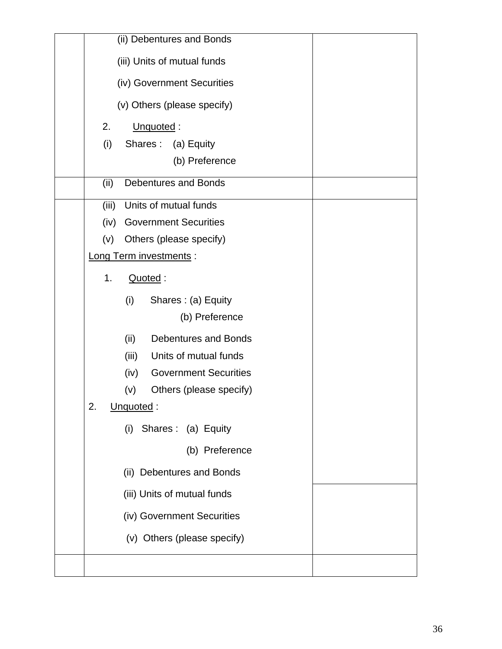| (ii) Debentures and Bonds            |  |
|--------------------------------------|--|
| (iii) Units of mutual funds          |  |
| (iv) Government Securities           |  |
| (v) Others (please specify)          |  |
| 2.<br>Unquoted:                      |  |
| (i)<br>Shares: (a) Equity            |  |
| (b) Preference                       |  |
| Debentures and Bonds<br>(ii)         |  |
| (iii)<br>Units of mutual funds       |  |
| <b>Government Securities</b><br>(iv) |  |
| (v)<br>Others (please specify)       |  |
| Long Term investments :              |  |
| 1.<br>Quoted:                        |  |
| (i)<br>Shares: (a) Equity            |  |
| (b) Preference                       |  |
| <b>Debentures and Bonds</b><br>(ii)  |  |
| Units of mutual funds<br>(iii)       |  |
| <b>Government Securities</b><br>(iv) |  |
| (v)<br>Others (please specify)       |  |
| 2.<br>Unquoted:                      |  |
| Shares: (a) Equity<br>(i)            |  |
| (b) Preference                       |  |
| (ii) Debentures and Bonds            |  |
| (iii) Units of mutual funds          |  |
| (iv) Government Securities           |  |
| (v) Others (please specify)          |  |
|                                      |  |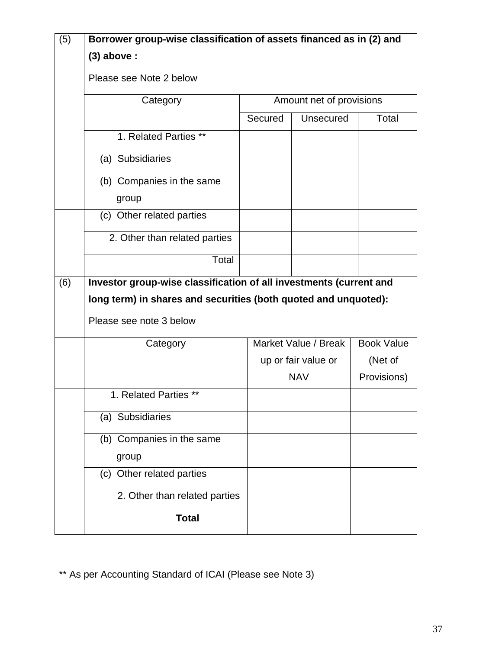| (5) | Borrower group-wise classification of assets financed as in (2) and |                          |                      |                   |  |
|-----|---------------------------------------------------------------------|--------------------------|----------------------|-------------------|--|
|     | $(3)$ above :                                                       |                          |                      |                   |  |
|     | Please see Note 2 below                                             |                          |                      |                   |  |
|     | Category                                                            | Amount net of provisions |                      |                   |  |
|     |                                                                     | Secured                  | Unsecured            | Total             |  |
|     | 1. Related Parties **                                               |                          |                      |                   |  |
|     | (a) Subsidiaries                                                    |                          |                      |                   |  |
|     | (b) Companies in the same                                           |                          |                      |                   |  |
|     | group                                                               |                          |                      |                   |  |
|     | (c) Other related parties                                           |                          |                      |                   |  |
|     | 2. Other than related parties                                       |                          |                      |                   |  |
|     | Total                                                               |                          |                      |                   |  |
| (6) | Investor group-wise classification of all investments (current and  |                          |                      |                   |  |
|     | long term) in shares and securities (both quoted and unquoted):     |                          |                      |                   |  |
|     | Please see note 3 below                                             |                          |                      |                   |  |
|     | Category                                                            |                          | Market Value / Break | <b>Book Value</b> |  |
|     |                                                                     |                          | up or fair value or  | (Net of           |  |
|     |                                                                     |                          | <b>NAV</b>           | Provisions)       |  |
|     | 1. Related Parties **                                               |                          |                      |                   |  |
|     | (a) Subsidiaries                                                    |                          |                      |                   |  |
|     | (b) Companies in the same                                           |                          |                      |                   |  |
|     | group                                                               |                          |                      |                   |  |
|     | (c) Other related parties                                           |                          |                      |                   |  |
|     | 2. Other than related parties                                       |                          |                      |                   |  |
|     | <b>Total</b>                                                        |                          |                      |                   |  |

\*\* As per Accounting Standard of ICAI (Please see Note 3)